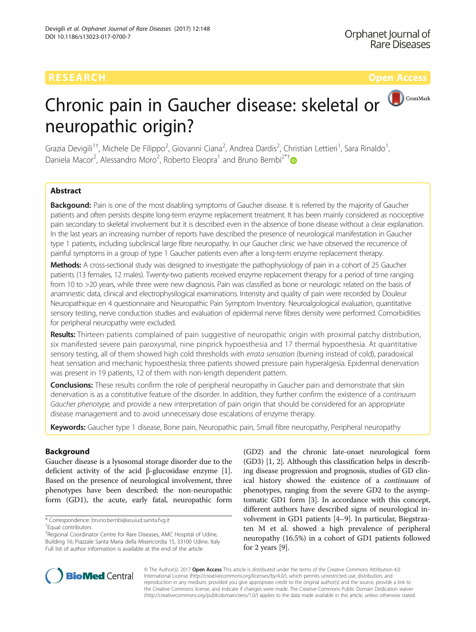# Chronic pain in Gaucher disease: skeletal or neuropathic origin?

Grazia Devigili<sup>1†</sup>, Michele De Filippo<sup>2</sup>, Giovanni Ciana<sup>2</sup>, Andrea Dardis<sup>2</sup>, Christian Lettieri<sup>1</sup>, Sara Rinaldo<sup>1</sup> , Daniela Macor<sup>2</sup>, Alessandro Moro<sup>2</sup>, Roberto Eleopra<sup>1</sup> and Bruno Bembi<sup>2\*†</sup>

## Abstract

Backgound: Pain is one of the most disabling symptoms of Gaucher disease. It is referred by the majority of Gaucher patients and often persists despite long-term enzyme replacement treatment. It has been mainly considered as nociceptive pain secondary to skeletal involvement but it is described even in the absence of bone disease without a clear explanation. In the last years an increasing number of reports have described the presence of neurological manifestation in Gaucher type 1 patients, including subclinical large fibre neuropathy. In our Gaucher clinic we have observed the recurrence of painful symptoms in a group of type 1 Gaucher patients even after a long-term enzyme replacement therapy.

Methods: A cross-sectional study was designed to investigate the pathophysiology of pain in a cohort of 25 Gaucher patients (13 females, 12 males). Twenty-two patients received enzyme replacement therapy for a period of time ranging from 10 to >20 years, while three were new diagnosis. Pain was classified as bone or neurologic related on the basis of anamnestic data, clinical and electrophysilogical examinations. Intensity and quality of pain were recorded by Douleur Neuropathique en 4 questionnaire and Neuropathic Pain Symptom Inventory. Neuroalgological evaluation, quantitative sensory testing, nerve conduction studies and evaluation of epidermal nerve fibres density were performed. Comorbidities for peripheral neuropathy were excluded.

Results: Thirteen patients complained of pain suggestive of neuropathic origin with proximal patchy distribution, six manifested severe pain paroxysmal, nine pinprick hypoesthesia and 17 thermal hypoesthesia. At quantitative sensory testing, all of them showed high cold thresholds with errata sensation (burning instead of cold), paradoxical heat sensation and mechanic hypoesthesia; three patients showed pressure pain hyperalgesia. Epidermal denervation was present in 19 patients, 12 of them with non-length dependent pattern.

**Conclusions:** These results confirm the role of peripheral neuropathy in Gaucher pain and demonstrate that skin denervation is as a constitutive feature of the disorder. In addition, they further confirm the existence of a continuum Gaucher phenotype, and provide a new interpretation of pain origin that should be considered for an appropriate disease management and to avoid unnecessary dose escalations of enzyme therapy.

Keywords: Gaucher type 1 disease, Bone pain, Neuropathic pain, Small fibre neuropathy, Peripheral neuropathy

## Background

Gaucher disease is a lysosomal storage disorder due to the deficient activity of the acid β-glucosidase enzyme [[1](#page-8-0)]. Based on the presence of neurological involvement, three phenotypes have been described: the non-neuropathic form (GD1), the acute, early fatal, neuropathic form (GD2) and the chronic late-onset neurological form (GD3) [\[1](#page-8-0), [2](#page-8-0)]. Although this classification helps in describing disease progression and prognosis, studies of GD clinical history showed the existence of a continuum of phenotypes, ranging from the severe GD2 to the asymptomatic GD1 form [\[3\]](#page-8-0). In accordance with this concept, different authors have described signs of neurological involvement in GD1 patients [\[4](#page-8-0)–[9\]](#page-8-0). In particular, Biegstraaten M et al. showed a high prevalence of peripheral neuropathy (16.5%) in a cohort of GD1 patients followed for 2 years [\[9](#page-8-0)].



© The Author(s). 2017 **Open Access** This article is distributed under the terms of the Creative Commons Attribution 4.0 International License [\(http://creativecommons.org/licenses/by/4.0/](http://creativecommons.org/licenses/by/4.0/)), which permits unrestricted use, distribution, and reproduction in any medium, provided you give appropriate credit to the original author(s) and the source, provide a link to the Creative Commons license, and indicate if changes were made. The Creative Commons Public Domain Dedication waiver [\(http://creativecommons.org/publicdomain/zero/1.0/](http://creativecommons.org/publicdomain/zero/1.0/)) applies to the data made available in this article, unless otherwise stated.

<sup>\*</sup> Correspondence: [bruno.bembi@asuiud.sanita.fvg.it](mailto:bruno.bembi@asuiud.sanita.fvg.it) †

Equal contributors

<sup>&</sup>lt;sup>2</sup> Regional Coordinator Centre for Rare Diseases, AMC Hospital of Udine, Building 16; Piazzale Santa Maria della Misericordia 15, 33100 Udine, Italy Full list of author information is available at the end of the article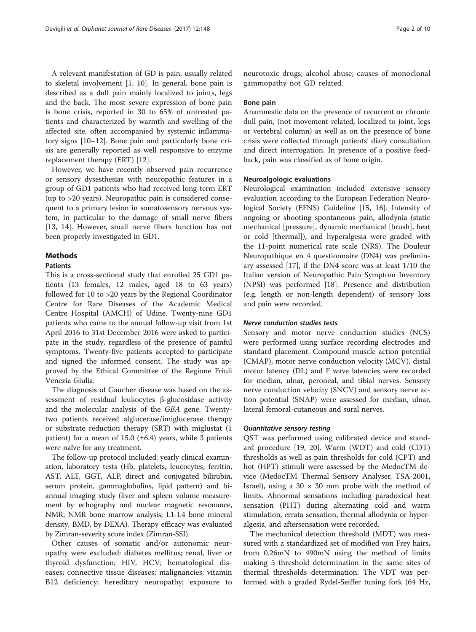A relevant manifestation of GD is pain, usually related to skeletal involvement [\[1](#page-8-0), [10](#page-8-0)]. In general, bone pain is described as a dull pain mainly localized to joints, legs and the back. The most severe expression of bone pain is bone crisis, reported in 30 to 65% of untreated patients and characterized by warmth and swelling of the affected site, often accompanied by systemic inflammatory signs [[10](#page-8-0)–[12](#page-8-0)]. Bone pain and particularly bone crisis are generally reported as well responsive to enzyme replacement therapy (ERT) [[12\]](#page-8-0).

However, we have recently observed pain recurrence or sensory dysesthesias with neuropathic features in a group of GD1 patients who had received long-term ERT (up to >20 years). Neuropathic pain is considered consequent to a primary lesion in somatosensory nervous system, in particular to the damage of small nerve fibers [[13, 14](#page-8-0)]. However, small nerve fibers function has not been properly investigated in GD1.

### **Methods**

#### Patients

This is a cross-sectional study that enrolled 25 GD1 patients (13 females, 12 males, aged 18 to 63 years) followed for 10 to >20 years by the Regional Coordinator Centre for Rare Diseases of the Academic Medical Centre Hospital (AMCH) of Udine. Twenty-nine GD1 patients who came to the annual follow-up visit from 1st April 2016 to 31st December 2016 were asked to participate in the study, regardless of the presence of painful symptoms. Twenty-five patients accepted to participate and signed the informed consent. The study was approved by the Ethical Committee of the Regione Friuli Venezia Giulia.

The diagnosis of Gaucher disease was based on the assessment of residual leukocytes β-glucosidase activity and the molecular analysis of the GBA gene. Twentytwo patients received alglucerase/imiglucerase therapy or substrate reduction therapy (SRT) with miglustat (1 patient) for a mean of 15.0 ( $\pm$ 6.4) years, while 3 patients were naïve for any treatment.

The follow-up protocol included: yearly clinical examination, laboratory tests (Hb, platelets, leucocytes, ferritin, AST, ALT, GGT, ALP, direct and conjugated bilirubin, serum protein, gammaglobulins, lipid pattern) and biannual imaging study (liver and spleen volume measurement by echography and nuclear magnetic resonance, NMR; NMR bone marrow analysis; L1-L4 bone mineral density, BMD, by DEXA). Therapy efficacy was evaluated by Zimran-severity score index (Zimran-SSI).

Other causes of somatic and/or autonomic neuropathy were excluded: diabetes mellitus; renal, liver or thyroid dysfunction; HIV, HCV; hematological diseases; connective tissue diseases; malignancies; vitamin B12 deficiency; hereditary neuropathy; exposure to neurotoxic drugs; alcohol abuse; causes of monoclonal gammopathy not GD related.

#### Bone pain

Anamnestic data on the presence of recurrent or chronic dull pain, (not movement related, localized to joint, legs or vertebral column) as well as on the presence of bone crisis were collected through patients' diary consultation and direct interrogation. In presence of a positive feedback, pain was classified as of bone origin.

#### Neuroalgologic evaluations

Neurological examination included extensive sensory evaluation according to the European Federation Neurological Society (EFNS) Guideline [[15, 16\]](#page-8-0). Intensity of ongoing or shooting spontaneous pain, allodynia (static mechanical [pressure], dynamic mechanical [brush], heat or cold [thermal]), and hyperalgesia were graded with the 11-point numerical rate scale (NRS). The Douleur Neuropathique en 4 questionnaire (DN4) was preliminary assessed [[17\]](#page-8-0), if the DN4 score was at least 1/10 the Italian version of Neuropathic Pain Symptom Inventory (NPSI) was performed [\[18\]](#page-8-0). Presence and distribution (e.g. length or non-length dependent) of sensory loss and pain were recorded.

#### Nerve conduction studies tests

Sensory and motor nerve conduction studies (NCS) were performed using surface recording electrodes and standard placement. Compound muscle action potential (CMAP), motor nerve conduction velocity (MCV), distal motor latency (DL) and F wave latencies were recorded for median, ulnar, peroneal, and tibial nerves. Sensory nerve conduction velocity (SNCV) and sensory nerve action potential (SNAP) were assessed for median, ulnar, lateral femoral-cutaneous and sural nerves.

#### Quantitative sensory testing

QST was performed using calibrated device and standard procedure [[19, 20\]](#page-8-0). Warm (WDT) and cold (CDT) thresholds as well as pain thresholds for cold (CPT) and hot (HPT) stimuli were assessed by the MedocTM device (MedocTM Thermal Sensory Analyser, TSA-2001, Israel), using a  $30 \times 30$  mm probe with the method of limits. Abnormal sensations including paradoxical heat sensation (PHT) during alternating cold and warm stimulation, errata sensation, thermal allodynia or hyperalgesia, and aftersensation were recorded.

The mechanical detection threshold (MDT) was measured with a standardized set of modified von Frey hairs, from 0.26mN to 490mN using the method of limits making 5 threshold determination in the same sites of thermal thresholds determination. The VDT was performed with a graded Rydel-Seiffer tuning fork (64 Hz,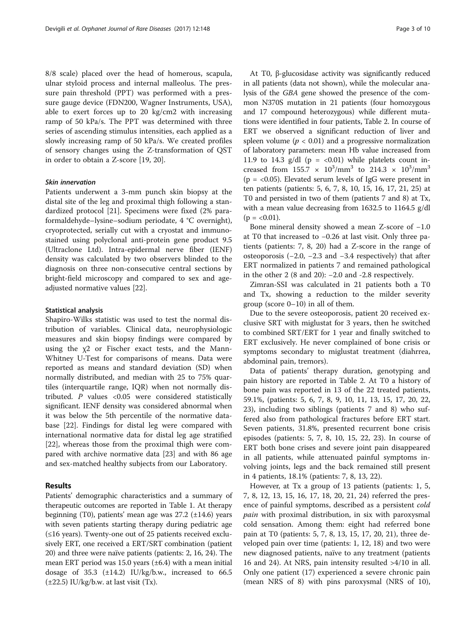8/8 scale) placed over the head of homerous, scapula, ulnar styloid process and internal malleolus. The pressure pain threshold (PPT) was performed with a pressure gauge device (FDN200, Wagner Instruments, USA), able to exert forces up to 20 kg/cm2 with increasing ramp of 50 kPa/s. The PPT was determined with three series of ascending stimulus intensities, each applied as a slowly increasing ramp of 50 kPa/s. We created profiles of sensory changes using the Z-transformation of QST in order to obtain a Z-score [\[19, 20\]](#page-8-0).

#### Skin innervation

Patients underwent a 3-mm punch skin biopsy at the distal site of the leg and proximal thigh following a standardized protocol [\[21\]](#page-8-0). Specimens were fixed (2% paraformaldehyde–lysine–sodium periodate, 4 °C overnight), cryoprotected, serially cut with a cryostat and immunostained using polyclonal anti-protein gene product 9.5 (Ultraclone Ltd). Intra-epidermal nerve fiber (IENF) density was calculated by two observers blinded to the diagnosis on three non-consecutive central sections by bright-field microscopy and compared to sex and ageadjusted normative values [\[22\]](#page-8-0).

#### Statistical analysis

Shapiro-Wilks statistic was used to test the normal distribution of variables. Clinical data, neurophysiologic measures and skin biopsy findings were compared by using the  $\chi$ 2 or Fischer exact tests, and the Mann-Whitney U-Test for comparisons of means. Data were reported as means and standard deviation (SD) when normally distributed, and median with 25 to 75% quartiles (interquartile range, IQR) when not normally distributed. P values <0.05 were considered statistically significant. IENF density was considered abnormal when it was below the 5th percentile of the normative database [[22](#page-8-0)]. Findings for distal leg were compared with international normative data for distal leg age stratified [[22\]](#page-8-0), whereas those from the proximal thigh were compared with archive normative data [[23\]](#page-8-0) and with 86 age and sex-matched healthy subjects from our Laboratory.

#### Results

Patients' demographic characteristics and a summary of therapeutic outcomes are reported in Table [1.](#page-3-0) At therapy beginning (T0), patients' mean age was 27.2 (±14.6) years with seven patients starting therapy during pediatric age (≤16 years). Twenty-one out of 25 patients received exclusively ERT, one received a ERT/SRT combination (patient 20) and three were naïve patients (patients: 2, 16, 24). The mean ERT period was 15.0 years  $(\pm 6.4)$  with a mean initial dosage of  $35.3$  ( $\pm 14.2$ ) IU/kg/b.w., increased to  $66.5$  $(\pm 22.5)$  IU/kg/b.w. at last visit (Tx).

At T0, β-glucosidase activity was significantly reduced in all patients (data not shown), while the molecular analysis of the GBA gene showed the presence of the common N370S mutation in 21 patients (four homozygous and 17 compound heterozygous) while different mutations were identified in four patients, Table [2](#page-4-0). In course of ERT we observed a significant reduction of liver and spleen volume ( $p < 0.01$ ) and a progressive normalization of laboratory parameters: mean Hb value increased from 11.9 to 14.3 g/dl  $(p = < 0.01)$  while platelets count increased from  $155.7 \times 10^3/\text{mm}^3$  to  $214.3 \times 10^3/\text{mm}^3$ ( $p = < 0.05$ ). Elevated serum levels of IgG were present in ten patients (patients: 5, 6, 7, 8, 10, 15, 16, 17, 21, 25) at T0 and persisted in two of them (patients 7 and 8) at Tx, with a mean value decreasing from 1632.5 to 1164.5 g/dl  $(p = < 0.01)$ .

Bone mineral density showed a mean Z-score of −1.0 at T0 that increased to −0.26 at last visit. Only three patients (patients: 7, 8, 20) had a Z-score in the range of osteoporosis (−2.0, −2.3 and −3.4 respectively) that after ERT normalized in patients 7 and remained pathological in the other 2 (8 and 20): −2.0 and -2.8 respectively.

Zimran-SSI was calculated in 21 patients both a T0 and Tx, showing a reduction to the milder severity group (score 0–10) in all of them.

Due to the severe osteoporosis, patient 20 received exclusive SRT with miglustat for 3 years, then he switched to combined SRT/ERT for 1 year and finally switched to ERT exclusively. He never complained of bone crisis or symptoms secondary to miglustat treatment (diahrrea, abdominal pain, tremors).

Data of patients' therapy duration, genotyping and pain history are reported in Table [2](#page-4-0). At T0 a history of bone pain was reported in 13 of the 22 treated patients, 59.1%, (patients: 5, 6, 7, 8, 9, 10, 11, 13, 15, 17, 20, 22, 23), including two siblings (patients 7 and 8) who suffered also from pathological fractures before ERT start. Seven patients, 31.8%, presented recurrent bone crisis episodes (patients: 5, 7, 8, 10, 15, 22, 23). In course of ERT both bone crises and severe joint pain disappeared in all patients, while attenuated painful symptoms involving joints, legs and the back remained still present in 4 patients, 18.1% (patients: 7, 8, 13, 22).

However, at Tx a group of 13 patients (patients: 1, 5, 7, 8, 12, 13, 15, 16, 17, 18, 20, 21, 24) referred the presence of painful symptoms, described as a persistent cold pain with proximal distribution, in six with paroxysmal cold sensation. Among them: eight had referred bone pain at T0 (patients: 5, 7, 8, 13, 15, 17, 20, 21), three developed pain over time (patients: 1, 12, 18) and two were new diagnosed patients, naïve to any treatment (patients 16 and 24). At NRS, pain intensity resulted >4/10 in all. Only one patient (17) experienced a severe chronic pain (mean NRS of 8) with pins paroxysmal (NRS of 10),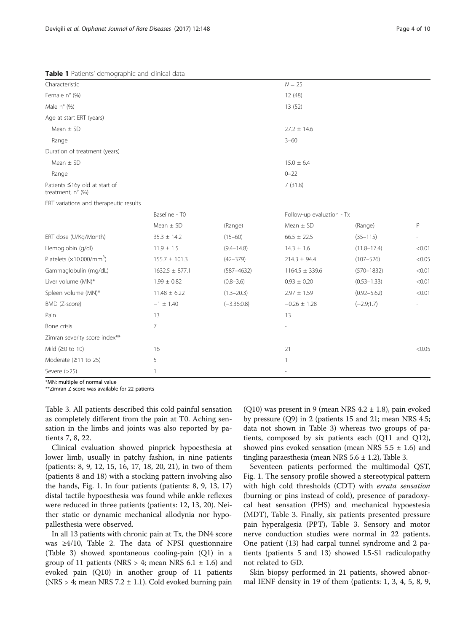<span id="page-3-0"></span>

|                    |                 | $N = 25$           |                 |                           |  |  |  |  |
|--------------------|-----------------|--------------------|-----------------|---------------------------|--|--|--|--|
|                    | 12(48)          |                    |                 |                           |  |  |  |  |
|                    | 13 (52)         |                    |                 |                           |  |  |  |  |
|                    |                 |                    |                 |                           |  |  |  |  |
|                    | $27.2 \pm 14.6$ |                    |                 |                           |  |  |  |  |
|                    | $3 - 60$        |                    |                 |                           |  |  |  |  |
|                    |                 |                    |                 |                           |  |  |  |  |
|                    | $15.0 \pm 6.4$  |                    |                 |                           |  |  |  |  |
|                    | $0 - 22$        |                    |                 |                           |  |  |  |  |
|                    | 7(31.8)         |                    |                 |                           |  |  |  |  |
|                    |                 |                    |                 |                           |  |  |  |  |
| Baseline - T0      |                 |                    |                 |                           |  |  |  |  |
| Mean $\pm$ SD      | (Range)         | Mean $\pm$ SD      | (Range)         | P                         |  |  |  |  |
| $35.3 \pm 14.2$    | $(15 - 60)$     | $66.5 \pm 22.5$    | $(35 - 115)$    |                           |  |  |  |  |
| $11.9 \pm 1.5$     | $(9.4 - 14.8)$  | $14.3 \pm 1.6$     | $(11.8 - 17.4)$ | < 0.01                    |  |  |  |  |
| $155.7 \pm 101.3$  | $(42 - 379)$    | $214.3 \pm 94.4$   | $(107 - 526)$   | < 0.05                    |  |  |  |  |
| $1632.5 \pm 877.1$ | $(587 - 4632)$  | $1164.5 \pm 339.6$ | $(570 - 1832)$  | < 0.01                    |  |  |  |  |
| $1.99 \pm 0.82$    | $(0.8 - 3.6)$   | $0.93 \pm 0.20$    | $(0.53 - 1.33)$ | < 0.01                    |  |  |  |  |
| $11.48 \pm 6.22$   | $(1.3 - 20.3)$  | $2.97 \pm 1.59$    | $(0.92 - 5.62)$ | < 0.01                    |  |  |  |  |
| $-1 \pm 1.40$      | $(-3.36;0.8)$   | $-0.26 \pm 1.28$   | $(-2.9;1.7)$    |                           |  |  |  |  |
| 13                 |                 | 13                 |                 |                           |  |  |  |  |
| 7                  |                 |                    |                 |                           |  |  |  |  |
|                    |                 |                    |                 |                           |  |  |  |  |
| 16                 |                 | 21                 |                 | < 0.05                    |  |  |  |  |
| 5                  |                 |                    |                 |                           |  |  |  |  |
| 1                  |                 |                    |                 |                           |  |  |  |  |
|                    |                 |                    |                 | Follow-up evaluation - Tx |  |  |  |  |

\*MN: multiple of normal value

\*\*Zimran Z-score was available for 22 patients

Table [3.](#page-5-0) All patients described this cold painful sensation as completely different from the pain at T0. Aching sensation in the limbs and joints was also reported by patients 7, 8, 22.

Clinical evaluation showed pinprick hypoesthesia at lower limb, usually in patchy fashion, in nine patients (patients: 8, 9, 12, 15, 16, 17, 18, 20, 21), in two of them (patients 8 and 18) with a stocking pattern involving also the hands, Fig. [1.](#page-6-0) In four patients (patients: 8, 9, 13, 17) distal tactile hypoesthesia was found while ankle reflexes were reduced in three patients (patients: 12, 13, 20). Neither static or dynamic mechanical allodynia nor hypopallesthesia were observed.

In all 13 patients with chronic pain at Tx, the DN4 score was ≥4/10, Table [2.](#page-4-0) The data of NPSI questionnaire (Table [3](#page-5-0)) showed spontaneous cooling-pain (Q1) in a group of 11 patients (NRS  $> 4$ ; mean NRS 6.1  $\pm$  1.6) and evoked pain (Q10) in another group of 11 patients (NRS  $> 4$ ; mean NRS 7.2  $\pm$  1.1). Cold evoked burning pain

(Q10) was present in 9 (mean NRS  $4.2 \pm 1.8$ ), pain evoked by pressure (Q9) in 2 (patients 15 and 21; mean NRS 4.5; data not shown in Table [3\)](#page-5-0) whereas two groups of patients, composed by six patients each (Q11 and Q12), showed pins evoked sensation (mean NRS  $5.5 \pm 1.6$ ) and tingling paraesthesia (mean NRS  $5.6 \pm 1.2$ ), Table [3](#page-5-0).

Seventeen patients performed the multimodal QST, Fig. [1](#page-6-0). The sensory profile showed a stereotypical pattern with high cold thresholds (CDT) with *errata sensation* (burning or pins instead of cold), presence of paradoxycal heat sensation (PHS) and mechanical hypoestesia (MDT), Table [3](#page-5-0). Finally, six patients presented pressure pain hyperalgesia (PPT), Table [3](#page-5-0). Sensory and motor nerve conduction studies were normal in 22 patients. One patient (13) had carpal tunnel syndrome and 2 patients (patients 5 and 13) showed L5-S1 radiculopathy not related to GD.

Skin biopsy performed in 21 patients, showed abnormal IENF density in 19 of them (patients: 1, 3, 4, 5, 8, 9,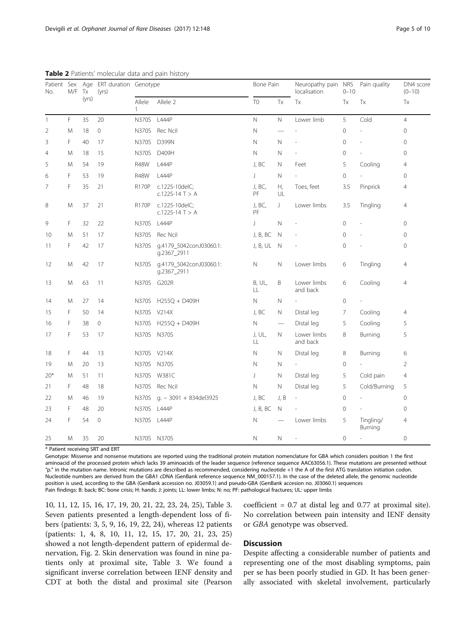| No.          | M/F | Tx    | Patient Sex Age ERT duration Genotype<br>(yrs) |              |                                              | Bone Pain      |                          | Neuropathy pain NRS<br>localisation | $0 - 10$            | Pain quality             | DN4 score<br>$(0 - 10)$ |
|--------------|-----|-------|------------------------------------------------|--------------|----------------------------------------------|----------------|--------------------------|-------------------------------------|---------------------|--------------------------|-------------------------|
|              |     | (yrs) |                                                | Allele<br>1  | Allele 2                                     | T <sub>0</sub> | Tx                       | Tx                                  | Tx                  | Tx                       | Tx                      |
| $\mathbf{1}$ | F   | 35    | 20                                             | <b>N370S</b> | L444P                                        | $\mathbb N$    | N                        | Lower limb                          | 5                   | Cold                     | $\overline{4}$          |
| 2            | M   | 18    | 0                                              |              | N370S Rec Ncil                               | $\mathsf{N}$   | $\overline{\phantom{0}}$ |                                     | $\mathbf 0$         |                          | $\mathbf 0$             |
| 3            | F   | 40    | 17                                             | <b>N370S</b> | D399N                                        | $\mathsf{N}$   | N                        |                                     | $\mathbf 0$         |                          | $\circ$                 |
| 4            | M   | 18    | 15                                             | N370S        | D409H                                        | $\hbox{N}$     | Ν                        |                                     | $\mathsf{O}\xspace$ |                          | $\circ$                 |
| 5            | M   | 54    | 19                                             | <b>R48W</b>  | L444P                                        | J, BC          | N                        | Feet                                | 5                   | Cooling                  | 4                       |
| 6            | F   | 53    | 19                                             | <b>R48W</b>  | L444P                                        | J              | Ν                        |                                     | 0                   |                          | 0                       |
| 7            | F   | 35    | 21                                             | <b>R170P</b> | c.1225-10delC;<br>c.1225-14 $T > A$          | J, BC,<br>PF   | Н,<br>UL                 | Toes, feet                          | 3.5                 | Pinprick                 | 4                       |
| 8            | M   | 37    | 21                                             | R170P        | c.1225-10delC;<br>c.1225-14 $T > A$          | J, BC,<br>PF   | J                        | Lower limbs                         | 3.5                 | Tingling                 | $\overline{4}$          |
| 9            | F   | 32    | 22                                             | N370S        | L444P                                        | J              | N                        |                                     | $\mathbf{0}$        |                          | 0                       |
| 10           | M   | 51    | 17                                             | N370S        | Rec Ncil                                     | J, B, BC       | N                        |                                     | 0                   |                          | 0                       |
| 11           | F   | 42    | 17                                             | <b>N370S</b> | g.4179_5042conJ03060.1:<br>g.2367_2911       | J, B, UL       | N                        |                                     | $\mathsf{O}\xspace$ |                          | 0                       |
| 12           | M   | 42    | 17                                             |              | N370S g.4179_5042conJ03060.1:<br>g.2367_2911 | $\mathsf{N}$   | $\mathsf{N}$             | Lower limbs                         | 6                   | Tingling                 | $\overline{4}$          |
| 13           | M   | 63    | 11                                             |              | N370S G202R                                  | B, UL,<br>LL   | Β                        | Lower limbs<br>and back             | 6                   | Cooling                  | 4                       |
| 14           | M   | 27    | 14                                             |              | N370S H255Q + D409H                          | N              | N                        |                                     | 0                   | $\overline{\phantom{a}}$ |                         |
| 15           | F   | 50    | 14                                             |              | N370S V214X                                  | J, BC          | N                        | Distal leg                          | 7                   | Cooling                  | $\overline{4}$          |
| 16           | F   | 38    | 0                                              |              | N370S H255Q + D409H                          | N              | $\overline{\phantom{0}}$ | Distal leg                          | 5                   | Cooling                  | 5                       |
| 17           | F   | 53    | 17                                             |              | N370S N370S                                  | J, UL,<br>LL   | N                        | Lower limbs<br>and back             | 8                   | Burning                  | 5                       |
| 18           | F   | 44    | 13                                             |              | N370S V214X                                  | N              | Ν                        | Distal leg                          | 8                   | Burning                  | 6                       |
| 19           | M   | 20    | 13                                             |              | N370S N370S                                  | N              | N                        |                                     | 0                   |                          | $\overline{2}$          |
| $20*$        | M   | 51    | 11                                             |              | N370S W381C                                  | J              | Ν                        | Distal leg                          | 5                   | Cold pain                | $\overline{4}$          |
| 21           | F   | 48    | 18                                             |              | N370S Rec Ncil                               | $\mathbb N$    | $\mathsf{N}$             | Distal leg                          | 5                   | Cold/Burning             | 5                       |
| 22           | M   | 46    | 19                                             | N370S        | g. - 3091 + 834del3925                       | J, BC          | J, B                     | ÷,                                  | 0                   |                          | 0                       |
| 23           | F   | 48    | 20                                             | N370S L444P  |                                              | J, B, BC       | N                        |                                     | 0                   |                          | $\mathbf 0$             |
| 24           | F   | 54    | $\mathbb O$                                    | N370S L444P  |                                              | N              |                          | Lower limbs                         | 5                   | Tingling/<br>Burning     | 4                       |
| 25           | M   | 35    | 20                                             |              | N370S N370S                                  | N              | N                        |                                     | 0                   |                          | 0                       |

<span id="page-4-0"></span>Table 2 Patients' molecular data and pain history

\* Patient receiving SRT and ERT

Genotype: Missense and nonsense mutations are reported using the traditional protein mutation nomenclature for GBA which considers position 1 the first aminoacid of the processed protein which lacks 39 aminoacids of the leader sequence (reference sequence AAC63056.1). These mutations are presented without "p." in the mutation name. Intronic mutations are described as recommended, considering nucleotide +1 the A of the first ATG translation initiation codon. Nucleotide numbers are derived from the GBA1 cDNA (GenBank reference sequence NM\_000157.1). In the case of the deleted allele, the genomic nucleotide position is used, according to the GBA (GenBank accession no. J03059.1) and pseudo-GBA (GenBank accesion no. J03060.1) sequences Pain findings: B: back; BC: bone crisis; H: hands; J: joints; LL: lower limbs; N: no; PF: pathological fractures; UL: upper limbs

10, 11, 12, 15, 16, 17, 19, 20, 21, 22, 23, 24, 25), Table [3](#page-5-0). Seven patients presented a length-dependent loss of fibers (patients: 3, 5, 9, 16, 19, 22, 24), whereas 12 patients (patients: 1, 4, 8, 10, 11, 12, 15, 17, 20, 21, 23, 25) showed a not length-dependent pattern of epidermal denervation, Fig. [2](#page-7-0). Skin denervation was found in nine patients only at proximal site, Table [3.](#page-5-0) We found a significant inverse correlation between IENF density and CDT at both the distal and proximal site (Pearson

coefficient = 0.7 at distal leg and 0.77 at proximal site). No correlation between pain intensity and IENF density or GBA genotype was observed.

### **Discussion**

Despite affecting a considerable number of patients and representing one of the most disabling symptoms, pain per se has been poorly studied in GD. It has been generally associated with skeletal involvement, particularly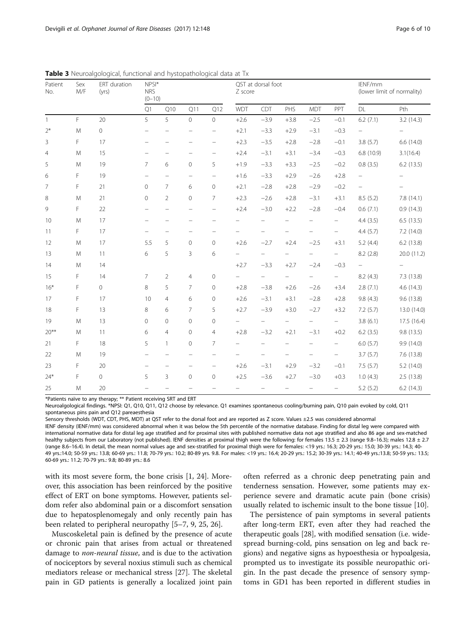| Patient<br>No. | Sex<br>M/F | ERT duration<br>(yrs) | $NPSI^*$<br><b>NRS</b><br>$(0-10)$ |                          |                          |                          | QST at dorsal foot<br>Z score |                          |                          |                          |                          | IENF/mm<br>(lower limit of normality) |                   |
|----------------|------------|-----------------------|------------------------------------|--------------------------|--------------------------|--------------------------|-------------------------------|--------------------------|--------------------------|--------------------------|--------------------------|---------------------------------------|-------------------|
|                |            |                       | Q1                                 | Q10                      | Q11                      | Q12                      | <b>WDT</b>                    | CDT                      | PHS                      | <b>MDT</b>               | PPT                      | $\mathsf{DL}$                         | Pth               |
| $\mathbf{1}$   | F          | 20                    | 5                                  | 5                        | $\circ$                  | $\circ$                  | $+2.6$                        | $-3.9$                   | $+3.8$                   | $-2.5$                   | $-0.1$                   | 6.2(7.1)                              | 3.2(14.3)         |
| $2*$           | M          | $\overline{0}$        | $\qquad \qquad -$                  |                          | $\overline{\phantom{0}}$ | $\overline{\phantom{0}}$ | $+2.1$                        | $-3.3$                   | $+2.9$                   | $-3.1$                   | $-0.3$                   | $\qquad \qquad -$                     | $\qquad \qquad -$ |
| 3              | F          | 17                    | $\overline{\phantom{0}}$           |                          |                          | $\overline{\phantom{0}}$ | $+2.3$                        | $-3.5$                   | $+2.8$                   | $-2.8$                   | $-0.1$                   | 3.8(5.7)                              | 6.6(14.0)         |
| 4              | M          | 15                    | $\overline{\phantom{0}}$           | $\qquad \qquad -$        |                          | $\overline{\phantom{0}}$ | $+2.4$                        | $-3.1$                   | $+3.1$                   | $-3.4$                   | $-0.3$                   | 6.8(10.9)                             | 3.1(16.4)         |
| 5              | M          | 19                    | $\overline{7}$                     | 6                        | $\mathbf 0$              | 5                        | $+1.9$                        | $-3.3$                   | $+3.3$                   | $-2.5$                   | $-0.2$                   | 0.8(3.5)                              | 6.2(13.5)         |
| 6              | F          | 19                    | $\overline{\phantom{m}}$           | $\overline{\phantom{0}}$ | $\overline{\phantom{0}}$ | $\overline{\phantom{m}}$ | $+1.6$                        | $-3.3$                   | $+2.9$                   | $-2.6$                   | $+2.8$                   | $\qquad \qquad -$                     |                   |
| 7              | F          | 21                    | $\overline{0}$                     | $\overline{7}$           | 6                        | $\mathbb O$              | $+2.1$                        | $-2.8$                   | $+2.8$                   | $-2.9$                   | $-0.2$                   | $\overline{\phantom{0}}$              |                   |
| 8              | M          | 21                    | $\mathbf 0$                        | $\overline{2}$           | $\mathbf 0$              | 7                        | $+2.3$                        | $-2.6$                   | $+2.8$                   | $-3.1$                   | $+3.1$                   | 8.5 (5.2)                             | 7.8(14.1)         |
| 9              | F          | 22                    | $\overline{\phantom{0}}$           | $\overline{\phantom{a}}$ | $\overline{\phantom{0}}$ | $\overline{\phantom{0}}$ | $+2.4$                        | $-3.0$                   | $+2.2$                   | $-2.8$                   | $-0.4$                   | 0.6(7.1)                              | 0.9(14.3)         |
| 10             | M          | 17                    | $\overline{\phantom{m}}$           |                          | $\overline{\phantom{0}}$ | $\overline{\phantom{0}}$ | $\qquad \qquad -$             | $\overline{\phantom{0}}$ | $\qquad \qquad -$        | $\equiv$                 | $\equiv$                 | 4.4(3.5)                              | 6.5(13.5)         |
| 11             | F          | 17                    | $\overline{\phantom{0}}$           |                          | $\overline{\phantom{0}}$ |                          | $\overline{\phantom{0}}$      |                          | $\overline{\phantom{0}}$ | $\overline{\phantom{0}}$ | $\overline{\phantom{0}}$ | 4.4(5.7)                              | 7.2 (14.0)        |
| 12             | M          | 17                    | 5.5                                | 5                        | $\mathbf 0$              | $\mathbf 0$              | $+2.6$                        | $-2.7$                   | $+2.4$                   | $-2.5$                   | $+3.1$                   | 5.2(4.4)                              | 6.2(13.8)         |
| 13             | M          | 11                    | 6                                  | 5                        | 3                        | 6                        | $\overline{\phantom{0}}$      |                          | $\qquad \qquad -$        |                          | $\overline{\phantom{0}}$ | 8.2(2.8)                              | 20.0 (11.2)       |
| 14             | M          | 14                    |                                    |                          |                          |                          | $+2.7$                        | $-3.3$                   | $+2.7$                   | $-2.4$                   | $-0.3$                   | $\equiv$                              |                   |
| 15             | F          | 14                    | 7                                  | 2                        | $\overline{4}$           | $\mathbf{0}$             | $\overline{\phantom{0}}$      | $\overline{\phantom{0}}$ | $\overline{\phantom{0}}$ | -                        | $\overline{\phantom{0}}$ | 8.2(4.3)                              | 7.3(13.8)         |
| $16*$          | F          | $\circ$               | 8                                  | 5                        | $\overline{7}$           | $\mathbf{0}$             | $+2.8$                        | $-3.8$                   | $+2.6$                   | $-2.6$                   | $+3.4$                   | 2.8(7.1)                              | 4.6(14.3)         |
| 17             | F          | 17                    | 10                                 | $\overline{4}$           | 6                        | $\circ$                  | $+2.6$                        | $-3.1$                   | $+3.1$                   | $-2.8$                   | $+2.8$                   | 9.8(4.3)                              | 9.6(13.8)         |
| 18             | F          | 13                    | 8                                  | 6                        | 7                        | 5                        | $+2.7$                        | $-3.9$                   | $+3.0$                   | $-2.7$                   | $+3.2$                   | 7.2(5.7)                              | 13.0 (14.0)       |
| 19             | M          | 13                    | $\overline{0}$                     | $\mathbf{0}$             | $\mathbf 0$              | $\circ$                  | $\overline{\phantom{0}}$      | $\overline{\phantom{0}}$ | $\overline{\phantom{0}}$ | $\overline{\phantom{0}}$ | $\overline{\phantom{0}}$ | 3.8(6.1)                              | 17.5 (16.4)       |
| $20***$        | M          | 11                    | 6                                  | $\overline{4}$           | $\mathbf 0$              | $\overline{4}$           | $+2.8$                        | $-3.2$                   | $+2.1$                   | $-3.1$                   | $+0.2$                   | 6.2(3.5)                              | 9.8(13.5)         |
| 21             | F          | 18                    | 5                                  | $\mathbf{1}$             | $\mathbf 0$              | $\overline{7}$           | $\qquad \qquad -$             |                          | $\overline{\phantom{0}}$ | $\overline{\phantom{0}}$ | $\overline{\phantom{0}}$ | 6.0(5.7)                              | 9.9(14.0)         |
| 22             | M          | 19                    |                                    |                          |                          |                          |                               |                          |                          |                          | $\overline{\phantom{0}}$ | 3.7(5.7)                              | 7.6 (13.8)        |
| 23             | F          | 20                    | $\overline{\phantom{a}}$           |                          |                          | $\overline{\phantom{0}}$ | $+2.6$                        | $-3.1$                   | $+2.9$                   | $-3.2$                   | $-0.1$                   | 7.5(5.7)                              | 5.2 (14.0)        |
| $24*$          | F          | $\Omega$              | 5                                  | 3                        | $\mathbf 0$              | $\mathbb O$              | $+2.5$                        | $-3.6$                   | $+2.7$                   | $-3.0$                   | $+0.3$                   | 1.0(4.3)                              | 2.5(13.8)         |
| 25             | M          | 20                    |                                    |                          |                          |                          |                               | $\overline{\phantom{0}}$ |                          | $\overline{\phantom{0}}$ | $\qquad \qquad -$        | 5.2(5.2)                              | 6.2(14.3)         |

<span id="page-5-0"></span>Table 3 Neuroalgological, functional and hystopathological data at Tx

\*Patients naïve to any therapy; \*\* Patient receiving SRT and ERT

Neuroalgological findings. \*NPSI: Q1, Q10, Q11, Q12 choose by relevance. Q1 examines spontaneous cooling/burning pain, Q10 pain evoked by cold, Q11 spontaneous pins pain and Q12 pareaesthesia

Sensory thresholds (WDT, CDT, PHS, MDT) at QST refer to the dorsal foot and are reported as Z score. Values ±2.5 was considered abnormal

IENF density (IENF/mm) was considered abnormal when it was below the 5th percentile of the normative database. Finding for distal leg were compared with international normative data for distal leg age stratified and for proximal sites with published normative data not age stratified and also 86 age and sex-matched healthy subjects from our Laboratory (not published). IENF densities at proximal thigh were the following: for females 13.5 ± 2.3 (range 9.8-16.3); males 12.8 ± 2.7 (range 8.6–16.4). In detail, the mean normal values age and sex-stratified for proximal thigh were for females: <19 yrs.: 16.3; 20-29 yrs.: 15.0; 30-39 yrs.: 14.3; 40- 49 yrs.:14.0; 50-59 yrs.: 13.8; 60-69 yrs.: 11.8; 70-79 yrs.: 10.2; 80-89 yrs. 9.8. For males: <19 yrs.: 16.4; 20-29 yrs.: 15.2; 30-39 yrs.: 14.1; 40-49 yrs.:13.8; 50-59 yrs.: 13.5; 60-69 yrs.: 11.2; 70-79 yrs.: 9.8; 80-89 yrs.: 8.6

with its most severe form, the bone crisis [[1, 24\]](#page-8-0). Moreover, this association has been reinforced by the positive effect of ERT on bone symptoms. However, patients seldom refer also abdominal pain or a discomfort sensation due to hepatosplenomegaly and only recently pain has been related to peripheral neuropathy [[5](#page-8-0)–[7, 9, 25](#page-8-0), [26](#page-8-0)].

Muscoskeletal pain is defined by the presence of acute or chronic pain that arises from actual or threatened damage to *non-neural tissue*, and is due to the activation of nociceptors by several noxius stimuli such as chemical mediators release or mechanical stress [\[27](#page-8-0)]. The skeletal pain in GD patients is generally a localized joint pain often referred as a chronic deep penetrating pain and tenderness sensation. However, some patients may experience severe and dramatic acute pain (bone crisis) usually related to ischemic insult to the bone tissue [\[10](#page-8-0)].

The persistence of pain symptoms in several patients after long-term ERT, even after they had reached the therapeutic goals [\[28\]](#page-8-0), with modified sensation (i.e. widespread burning-cold, pins sensation on leg and back regions) and negative signs as hypoesthesia or hypoalgesia, prompted us to investigate its possible neuropathic origin. In the past decade the presence of sensory symptoms in GD1 has been reported in different studies in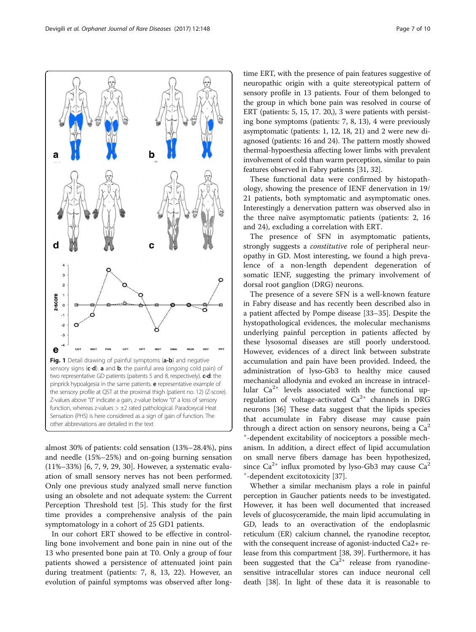<span id="page-6-0"></span>

almost 30% of patients: cold sensation (13%–28.4%), pins and needle (15%–25%) and on-going burning sensation (11%–33%) [[6](#page-8-0), [7](#page-8-0), [9, 29, 30\]](#page-8-0). However, a systematic evaluation of small sensory nerves has not been performed. Only one previous study analyzed small nerve function using an obsolete and not adequate system: the Current Perception Threshold test [[5\]](#page-8-0). This study for the first time provides a comprehensive analysis of the pain symptomatology in a cohort of 25 GD1 patients.

In our cohort ERT showed to be effective in controlling bone involvement and bone pain in nine out of the 13 who presented bone pain at T0. Only a group of four patients showed a persistence of attenuated joint pain during treatment (patients: 7, 8, 13, 22). However, an evolution of painful symptoms was observed after long-

time ERT, with the presence of pain features suggestive of neuropathic origin with a quite stereotypical pattern of sensory profile in 13 patients. Four of them belonged to the group in which bone pain was resolved in course of ERT (patients: 5, 15, 17. 20,), 3 were patients with persisting bone symptoms (patients: 7, 8, 13), 4 were previously asymptomatic (patients: 1, 12, 18, 21) and 2 were new diagnosed (patients: 16 and 24). The pattern mostly showed thermal-hypoesthesia affecting lower limbs with prevalent involvement of cold than warm perception, similar to pain features observed in Fabry patients [\[31](#page-8-0), [32](#page-8-0)].

These functional data were confirmed by histopathology, showing the presence of IENF denervation in 19/ 21 patients, both symptomatic and asymptomatic ones. Interestingly a denervation pattern was observed also in the three naïve asymptomatic patients (patients: 2, 16 and 24), excluding a correlation with ERT.

The presence of SFN in asymptomatic patients, strongly suggests a *constitutive* role of peripheral neuropathy in GD. Most interesting, we found a high prevalence of a non-length dependent degeneration of somatic IENF, suggesting the primary involvement of dorsal root ganglion (DRG) neurons.

The presence of a severe SFN is a well-known feature in Fabry disease and has recently been described also in a patient affected by Pompe disease [[33](#page-8-0)–[35](#page-8-0)]. Despite the hystopathological evidences, the molecular mechanisms underlying painful perception in patients affected by these lysosomal diseases are still poorly understood. However, evidences of a direct link between substrate accumulation and pain have been provided. Indeed, the administration of lyso-Gb3 to healthy mice caused mechanical allodynia and evoked an increase in intracellular  $Ca^{2+}$  levels associated with the functional upregulation of voltage-activated  $Ca^{2+}$  channels in DRG neurons [\[36](#page-8-0)] These data suggest that the lipids species that accumulate in Fabry disease may cause pain through a direct action on sensory neurons, being a  $Ca<sup>2</sup>$ + -dependent excitability of nociceptors a possible mechanism. In addition, a direct effect of lipid accumulation on small nerve fibers damage has been hypothesized, since  $Ca^{2+}$  influx promoted by lyso-Gb3 may cause  $Ca^{2}$ + -dependent excitotoxicity [\[37\]](#page-8-0).

Whether a similar mechanism plays a role in painful perception in Gaucher patients needs to be investigated. However, it has been well documented that increased levels of glucosyceramide, the main lipid accumulating in GD, leads to an overactivation of the endoplasmic reticulum (ER) calcium channel, the ryanodine receptor, with the consequent increase of agonist-inducted Ca2+ release from this compartment [[38](#page-8-0), [39](#page-9-0)]. Furthermore, it has been suggested that the  $Ca^{2+}$  release from ryanodinesensitive intracellular stores can induce neuronal cell death [[38](#page-8-0)]. In light of these data it is reasonable to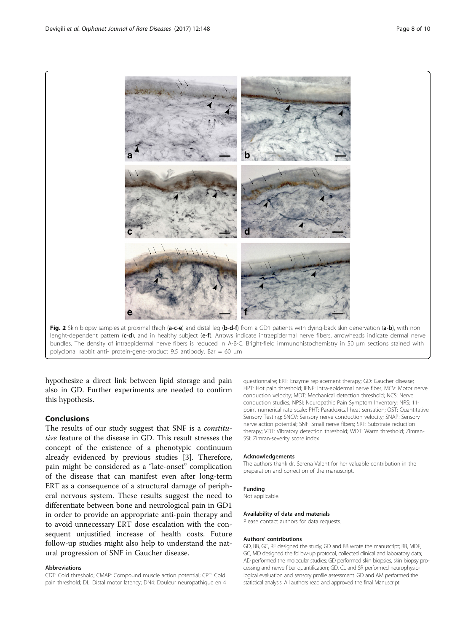<span id="page-7-0"></span>



hypothesize a direct link between lipid storage and pain also in GD. Further experiments are needed to confirm this hypothesis.

#### **Conclusions**

The results of our study suggest that SNF is a constitutive feature of the disease in GD. This result stresses the concept of the existence of a phenotypic continuum already evidenced by previous studies [[3\]](#page-8-0). Therefore, pain might be considered as a "late-onset" complication of the disease that can manifest even after long-term ERT as a consequence of a structural damage of peripheral nervous system. These results suggest the need to differentiate between bone and neurological pain in GD1 in order to provide an appropriate anti-pain therapy and to avoid unnecessary ERT dose escalation with the consequent unjustified increase of health costs. Future follow-up studies might also help to understand the natural progression of SNF in Gaucher disease.

#### Abbreviations

CDT: Cold threshold; CMAP: Compound muscle action potential; CPT: Cold pain threshold; DL: Distal motor latency; DN4: Douleur neuropathique en 4

questionnaire; ERT: Enzyme replacement therapy; GD: Gaucher disease; HPT: Hot pain threshold; IENF: Intra-epidermal nerve fiber; MCV: Motor nerve conduction velocity; MDT: Mechanical detection threshold; NCS: Nerve conduction studies; NPSI: Neuropathic Pain Symptom Inventory; NRS: 11 point numerical rate scale; PHT: Paradoxical heat sensation; QST: Quantitative Sensory Testing; SNCV: Sensory nerve conduction velocity; SNAP: Sensory nerve action potential; SNF: Small nerve fibers; SRT: Substrate reduction therapy; VDT: Vibratory detection threshold; WDT: Warm threshold; Zimran-SSI: Zimran-severity score index

#### Acknowledgements

The authors thank dr. Serena Valent for her valuable contribution in the preparation and correction of the manuscript.

#### Funding

Not applicable.

#### Availability of data and materials

Please contact authors for data requests.

#### Authors' contributions

GD, BB, GC, RE designed the study; GD and BB wrote the manuscript; BB, MDF, GC, MD designed the follow-up protocol, collected clinical and laboratory data; AD performed the molecular studies; GD performed skin biopsies, skin biopsy processing and nerve fiber quantification; GD, CL and SR performed neurophysiological evaluation and sensory profile assessment. GD and AM performed the statistical analysis. All authors read and approved the final Manuscript.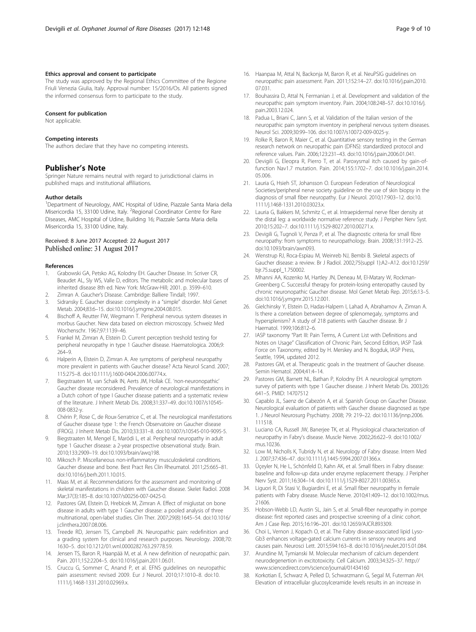#### <span id="page-8-0"></span>Ethics approval and consent to participate

The study was approved by the Regional Ethics Committee of the Regione Friuli Venezia Giulia, Italy. Approval number: 15/2016/Os. All patients signed the informed consensus form to participate to the study.

#### Consent for publication

Not applicable.

#### Competing interests

The authors declare that they have no competing interests.

#### Publisher's Note

Springer Nature remains neutral with regard to jurisdictional claims in published maps and institutional affiliations.

#### Author details

<sup>1</sup>Department of Neurology, AMC Hospital of Udine, Piazzale Santa Maria della Misericordia 15, 33100 Udine, Italy. <sup>2</sup> Regional Coordinator Centre for Rare Diseases, AMC Hospital of Udine, Building 16; Piazzale Santa Maria della Misericordia 15, 33100 Udine, Italy.

#### Received: 8 June 2017 Accepted: 22 August 2017 Published online: 31 August 2017

#### References

- 1. Grabowski GA, Petsko AG, Kolodny EH. Gaucher Disease. In: Scriver CR, Beaudet AL, Sly WS, Valle D, editors. The metabolic and molecular bases of inherited disease 8th ed. New York: McGraw-Hill; 2001. p. 3599–610.
- 2. Zimran A. Gaucher's Disease. Cambridge: Balliere Tindall; 1997.
- 3. Sidransky E. Gaucher disease: complexity in a "simple" disorder. Mol Genet Metab. 2004;83:6–15. doi[:10.1016/j.ymgme.2004.08.015](http://dx.doi.org/10.1016/j.ymgme.2004.08.015).
- 4. Bischoff A, Reutter FW, Wegmann T. Peripheral nervous system diseases in morbus Gaucher. New data based on electron microscopy. Schweiz Med Wochenschr. 1967;97:1139–46.
- 5. Frankel M, Zimran A, Elstein D. Current perception treshold testing for peripheral neuropathy in type 1 Gaucher disease. Haematologica. 2006;9:  $764 - 9$
- 6. Halperin A, Elstein D, Zimran A. Are symptoms of peripheral neuropathy more prevalent in patients with Gaucher disease? Acta Neurol Scand. 2007; 115:275–8. doi:[10.1111/j.1600-0404.2006.00774.x](http://dx.doi.org/10.1111/j.1600-0404.2006.00774.x).
- 7. Biegstraaten M, van Schaik IN, Aerts JM, Hollak CE. 'non-neuronopathic' Gaucher disease reconsidered. Prevalence of neurological manifestations in a Dutch cohort of type I Gaucher disease patients and a systematic review of the literature. J Inherit Metab Dis. 2008;31:337–49. doi:[10.1007/s10545-](http://dx.doi.org/10.1007/s10545-008-0832-y) [008-0832-y.](http://dx.doi.org/10.1007/s10545-008-0832-y)
- 8. Chérin P, Rose C, de Roux-Serratrice C, et al. The neurological manifestations of Gaucher disease type 1: the French Observatoire on Gaucher disease (FROG). J Inherit Metab Dis. 2010;33:331–8. doi:[10.1007/s10545-010-9095-5.](http://dx.doi.org/10.1007/s10545-010-9095-5)
- Biegstraaten M, Mengel E, Maródi L, et al. Peripheral neuropathy in adult type 1 Gaucher disease: a 2-year prospective observational study. Brain. 2010;133:2909–19. doi:[10.1093/brain/awq198.](http://dx.doi.org/10.1093/brain/awq198)
- 10. Mikosch P. Miscellaneous non-inflammatory musculoskeletal conditions. Gaucher disease and bone. Best Pract Res Clin Rheumatol. 2011;25:665–81. doi[:10.1016/j.berh.2011.10.015](http://dx.doi.org/10.1016/j.berh.2011.10.015).
- 11. Maas M, et al. Recommendations for the assessment and monitoring of skeletal manifestations in children with Gaucher disease. Skelet Radiol. 2008 Mar;37(3):185–8. doi:[10.1007/s00256-007-0425-0.](http://dx.doi.org/10.1007/s00256-007-0425-0)
- 12. Pastores GM, Elstein D, Hrebícek M, Zimran A. Effect of miglustat on bone disease in adults with type 1 Gaucher disease: a pooled analysis of three multinational, open-label studies. Clin Ther. 2007;29(8):1645–54. doi[:10.1016/](http://dx.doi.org/10.1016/j.clinthera.2007.08.006) [j.clinthera.2007.08.006](http://dx.doi.org/10.1016/j.clinthera.2007.08.006).
- 13. Treede RD, Jensen TS, Campbell JN. Neuropathic pain: redefinition and a grading system for clinical and research purposes. Neurology. 2008;70: 1630–5. doi:[10.1212/01.wnl.0000282763.29778.59.](http://dx.doi.org/10.1212/01.wnl.0000282763.29778.59)
- 14. Jensen TS, Baron R, Haanpää M, et al. A new definition of neuropathic pain. Pain. 2011;152:2204–5. doi:[10.1016/j.pain.2011.06.01.](http://dx.doi.org/10.1016/j.pain.2011.06.01)
- 15. Cruccu G, Sommer C, Anand P, et al. EFNS guidelines on neuropathic pain assessment: revised 2009. Eur J Neurol. 2010;17:1010–8. doi:[10.](http://dx.doi.org/10.1111/j.1468-1331.2010.02969.x) [1111/j.1468-1331.2010.02969.x.](http://dx.doi.org/10.1111/j.1468-1331.2010.02969.x)
- 16. Haanpaa M, Attal N, Backonja M, Baron R, et al. NeuPSIG guidelines on neuropathic pain assessment. Pain. 2011;152:14–27. doi:[10.1016/j.pain.2010.](http://dx.doi.org/10.1016/j.pain.2010.07.031) [07.031.](http://dx.doi.org/10.1016/j.pain.2010.07.031)
- 17. Bouhassira D, Attal N, Fermanian J, et al. Development and validation of the neuropathic pain symptom inventory. Pain. 2004;108:248–57. doi:[10.1016/j.](http://dx.doi.org/10.1016/j.pain.2003.12.024) [pain.2003.12.024](http://dx.doi.org/10.1016/j.pain.2003.12.024).
- 18. Padua L, Briani C, Jann S, et al. Validation of the Italian version of the neuropathic pain symptom inventory in peripheral nervous system diseases. Neurol Sci. 2009;30:99–106. doi[:10.1007/s10072-009-0025-y](http://dx.doi.org/10.1007/s10072-009-0025-y).
- 19. Rolke R, Baron R, Maier C, et al. Quantitative sensory testing in the German research network on neuropathic pain (DFNS): standardized protocol and reference values. Pain. 2006;123:231–43. doi[:10.1016/j.pain.2006.01.041.](http://dx.doi.org/10.1016/j.pain.2006.01.041)
- 20. Devigili G, Eleopra R, Pierro T, et al. Paroxysmal itch caused by gain-offunction Nav1.7 mutation. Pain. 2014;155:1702–7. doi:[10.1016/j.pain.2014.](http://dx.doi.org/10.1016/j.pain.2014.05.006) [05.006.](http://dx.doi.org/10.1016/j.pain.2014.05.006)
- 21. Lauria G, Hsieh ST, Johansson O. European Federation of Neurological Societies/peripheral nerve society guideline on the use of skin biopsy in the diagnosis of small fiber neuropathy. Eur J Neurol. 2010;17:903–12. doi[:10.](http://dx.doi.org/10.1111/j.1468-1331.2010.03023.x) [1111/j.1468-1331.2010.03023.x](http://dx.doi.org/10.1111/j.1468-1331.2010.03023.x).
- 22. Lauria G, Bakkers M, Schmitz C, et al. Intraepidermal nerve fiber density at the distal leg: a worldwide normative reference study. J Peripher Nerv Syst. 2010;15:202–7. doi[:10.1111/j.1529-8027.2010.00271.x.](http://dx.doi.org/10.1111/j.1529-8027.2010.00271.x)
- 23. Devigili G, Tugnoli V, Penza P, et al. The diagnostic criteria for small fibre neuropathy: from symptoms to neuropathology. Brain. 2008;131:1912–25. doi[:10.1093/brain/awn093](http://dx.doi.org/10.1093/brain/awn093).
- 24. Wenstrup RJ, Roca-Espiau M, Weinreb NJ, Bembi B. Skeletal aspects of Gaucher disease: a review. Br J Radiol. 2002;75(suppl 1):A2–A12. doi[:10.1259/](http://dx.doi.org/10.1259/bjr.75.suppl_1.750002) [bjr.75.suppl\\_1.750002](http://dx.doi.org/10.1259/bjr.75.suppl_1.750002).
- 25. Mhanni AA, Kozenko M, Hartley JN, Deneau M, El-Matary W, Rockman-Greenberg C. Successful therapy for protein-losing enteropathy caused by chronic neuronopathic Gaucher disease. Mol Genet Metab Rep. 2015;6:13–5. doi[:10.1016/j.ymgmr.2015.12.001.](http://dx.doi.org/10.1016/j.ymgmr.2015.12.001)
- 26. Gielchinsky Y, Elstein D, Hadas-Halpern I, Lahad A, Abrahamov A, Zimran A. Is there a correlation between degree of splenomegaly, symptoms and hypersplenism? A study of 218 patients with Gaucher disease. Br J Haematol. 1999;106:812–6.
- 27. IASP taxonomy "Part III: Pain Terms, A Current List with Definitions and Notes on Usage" Classification of Chronic Pain, Second Edition, IASP Task Force on Taxonomy, edited by H. Merskey and N. Bogduk, IASP Press, Seattle, 1994, updated 2012.
- 28. Pastores GM, et al. Therapeutic goals in the treatment of Gaucher disease. Semin Hematol. 2004;41:4–14.
- 29. Pastores GM, Barnett NL, Bathan P, Kolodny EH. A neurological symptom survey of patients with type 1 Gaucher disease. J Inherit Metab Dis. 2003;26: 641–5. PMID: [14707512](https://www.ncbi.nlm.nih.gov/pubmed/14707512)
- 30. Capablo JL, Saenz de Cabezón A, et al. Spanish Group on Gaucher Disease. Neurological evaluation of patients with Gaucher disease diagnosed as type 1. J Neurol Neurosurg Psychiatry. 2008; 79: 219–22. doi:[10.1136/jnnp.2006.](http://dx.doi.org/10.1136/jnnp.2006.111518) [111518](http://dx.doi.org/10.1136/jnnp.2006.111518).
- 31. Luciano CA, Russell JW, Banerjee TK, et al. Physiological characterization of neuropathy in Fabry's disease. Muscle Nerve. 2002;26:622–9. doi[:10.1002/](http://dx.doi.org/10.1002/mus.10236) [mus.10236](http://dx.doi.org/10.1002/mus.10236).
- 32. Low M, Nicholls K, Tubridy N, et al. Neurology of Fabry disease. Intern Med J. 2007;37:436–47. doi:[10.1111/j.1445-5994.2007.01366.x](http://dx.doi.org/10.1111/j.1445-5994.2007.01366.x).
- 33. Üçeyler N, He L, Schönfeld D, Kahn AK, et al. Small fibers in Fabry disease: baseline and follow-up data under enzyme replacement therapy. J Peripher Nerv Syst. 2011;16:304–14. doi:[10.1111/j.1529-8027.2011.00365.x](http://dx.doi.org/10.1111/j.1529-8027.2011.00365.x).
- 34. Liguori R, Di Stasi V, Bugiardini E, et al. Small fiber neuropathy in female patients with Fabry disease. Muscle Nerve. 2010;41:409–12. doi:[10.1002/mus.](http://dx.doi.org/10.1002/mus.21606) [21606.](http://dx.doi.org/10.1002/mus.21606)
- 35. Hobson-Webb LD, Austin SL, Jain S, et al. Small-fiber neuropathy in pompe disease: first reported cases and prospective screening of a clinic cohort. Am J Case Rep. 2015;16:196–201. doi[:10.12659/AJCR.893309.](http://dx.doi.org/10.12659/AJCR.893309)
- 36. Choi L, Vernon J, Kopach O, et al. The Fabry disease-associated lipid Lyso-Gb3 enhances voltage-gated calcium currents in sensory neurons and causes pain. Neurosci Lett. 2015;594:163–8. doi[:10.1016/j.neulet.2015.01.084](http://dx.doi.org/10.1016/j.neulet.2015.01.084).
- 37. Arundine M, Tymianski M. Molecular mechanism of calcium dependent neurodegenertion in excitotoxicity. Cell Calcium. 2003;34:325–37. [http://](http://www.sciencedirect.com/science/journal/01434160) [www.sciencedirect.com/science/journal/01434160](http://www.sciencedirect.com/science/journal/01434160)
- 38. Korkotian E, Schwarz A, Pelled D, Schwarzmann G, Segal M, Futerman AH. Elevation of intracellular glucosylceramide levels results in an increase in